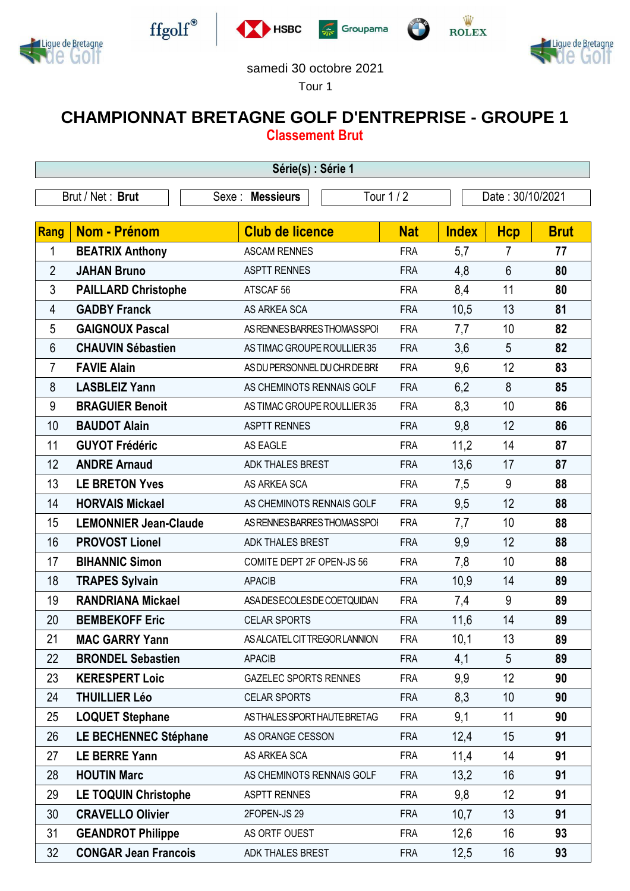









## samedi 30 octobre 2021

Tour 1

## **CHAMPIONNAT BRETAGNE GOLF D'ENTREPRISE - GROUPE 1 Classement Brut**

| Série(s) : Série 1        |                              |                               |            |              |                  |             |  |  |  |  |
|---------------------------|------------------------------|-------------------------------|------------|--------------|------------------|-------------|--|--|--|--|
| Brut / Net: Brut<br>Sexe: |                              | <b>Messieurs</b>              | Tour 1 / 2 |              | Date: 30/10/2021 |             |  |  |  |  |
|                           |                              |                               |            |              |                  |             |  |  |  |  |
| Rang                      | <b>Nom - Prénom</b>          | <b>Club de licence</b>        | <b>Nat</b> | <b>Index</b> | <b>Hcp</b>       | <b>Brut</b> |  |  |  |  |
| 1                         | <b>BEATRIX Anthony</b>       | <b>ASCAM RENNES</b>           | <b>FRA</b> | 5,7          | 7                | 77          |  |  |  |  |
| $\overline{2}$            | <b>JAHAN Bruno</b>           | <b>ASPTT RENNES</b>           | <b>FRA</b> | 4,8          | 6                | 80          |  |  |  |  |
| 3                         | <b>PAILLARD Christophe</b>   | ATSCAF <sub>56</sub>          | <b>FRA</b> | 8,4          | 11               | 80          |  |  |  |  |
| 4                         | <b>GADBY Franck</b>          | AS ARKEA SCA                  | <b>FRA</b> | 10,5         | 13               | 81          |  |  |  |  |
| 5                         | <b>GAIGNOUX Pascal</b>       | AS RENNES BARRES THOMAS SPOI  | <b>FRA</b> | 7,7          | 10               | 82          |  |  |  |  |
| 6                         | <b>CHAUVIN Sébastien</b>     | AS TIMAC GROUPE ROULLIER 35   | <b>FRA</b> | 3,6          | 5                | 82          |  |  |  |  |
| $\overline{7}$            | <b>FAVIE Alain</b>           | AS DU PERSONNEL DU CHR DE BRE | <b>FRA</b> | 9,6          | 12               | 83          |  |  |  |  |
| 8                         | <b>LASBLEIZ Yann</b>         | AS CHEMINOTS RENNAIS GOLF     | <b>FRA</b> | 6,2          | 8                | 85          |  |  |  |  |
| 9                         | <b>BRAGUIER Benoit</b>       | AS TIMAC GROUPE ROULLIER 35   | <b>FRA</b> | 8,3          | 10               | 86          |  |  |  |  |
| 10                        | <b>BAUDOT Alain</b>          | <b>ASPTT RENNES</b>           | <b>FRA</b> | 9,8          | 12               | 86          |  |  |  |  |
| 11                        | <b>GUYOT Frédéric</b>        | <b>AS EAGLE</b>               | <b>FRA</b> | 11,2         | 14               | 87          |  |  |  |  |
| 12                        | <b>ANDRE Arnaud</b>          | <b>ADK THALES BREST</b>       | <b>FRA</b> | 13,6         | 17               | 87          |  |  |  |  |
| 13                        | <b>LE BRETON Yves</b>        | AS ARKEA SCA                  | <b>FRA</b> | 7,5          | 9                | 88          |  |  |  |  |
| 14                        | <b>HORVAIS Mickael</b>       | AS CHEMINOTS RENNAIS GOLF     | <b>FRA</b> | 9,5          | 12               | 88          |  |  |  |  |
| 15                        | <b>LEMONNIER Jean-Claude</b> | AS RENNES BARRES THOMAS SPOI  | <b>FRA</b> | 7,7          | 10               | 88          |  |  |  |  |
| 16                        | <b>PROVOST Lionel</b>        | <b>ADK THALES BREST</b>       | <b>FRA</b> | 9,9          | 12               | 88          |  |  |  |  |
| 17                        | <b>BIHANNIC Simon</b>        | COMITE DEPT 2F OPEN-JS 56     | <b>FRA</b> | 7,8          | 10               | 88          |  |  |  |  |
| 18                        | <b>TRAPES Sylvain</b>        | <b>APACIB</b>                 | <b>FRA</b> | 10,9         | 14               | 89          |  |  |  |  |
| 19                        | <b>RANDRIANA Mickael</b>     | ASA DES ECOLES DE COETQUIDAN  | <b>FRA</b> | 7,4          | 9                | 89          |  |  |  |  |
| 20                        | <b>BEMBEKOFF Eric</b>        | <b>CELAR SPORTS</b>           | <b>FRA</b> | 11,6         | 14               | 89          |  |  |  |  |
| 21                        | <b>MAC GARRY Yann</b>        | AS ALCATEL CIT TREGOR LANNION | <b>FRA</b> | 10,1         | 13               | 89          |  |  |  |  |
| 22                        | <b>BRONDEL Sebastien</b>     | <b>APACIB</b>                 | <b>FRA</b> | 4,1          | 5                | 89          |  |  |  |  |
| 23                        | <b>KERESPERT Loic</b>        | <b>GAZELEC SPORTS RENNES</b>  | <b>FRA</b> | 9,9          | 12               | 90          |  |  |  |  |
| 24                        | <b>THUILLIER Léo</b>         | <b>CELAR SPORTS</b>           | <b>FRA</b> | 8,3          | 10               | 90          |  |  |  |  |
| 25                        | <b>LOQUET Stephane</b>       | AS THALES SPORT HAUTE BRETAG  | <b>FRA</b> | 9,1          | 11               | 90          |  |  |  |  |
| 26                        | <b>LE BECHENNEC Stéphane</b> | AS ORANGE CESSON              | <b>FRA</b> | 12,4         | 15               | 91          |  |  |  |  |
| 27                        | <b>LE BERRE Yann</b>         | AS ARKEA SCA                  | <b>FRA</b> | 11,4         | 14               | 91          |  |  |  |  |
| 28                        | <b>HOUTIN Marc</b>           | AS CHEMINOTS RENNAIS GOLF     | <b>FRA</b> | 13,2         | 16               | 91          |  |  |  |  |
| 29                        | <b>LE TOQUIN Christophe</b>  | <b>ASPTT RENNES</b>           | <b>FRA</b> | 9,8          | 12               | 91          |  |  |  |  |
| 30                        | <b>CRAVELLO Olivier</b>      | 2FOPEN-JS 29                  | <b>FRA</b> | 10,7         | 13               | 91          |  |  |  |  |
| 31                        | <b>GEANDROT Philippe</b>     | AS ORTF OUEST                 | <b>FRA</b> | 12,6         | 16               | 93          |  |  |  |  |
| 32                        | <b>CONGAR Jean Francois</b>  | ADK THALES BREST              | <b>FRA</b> | 12,5         | 16               | 93          |  |  |  |  |